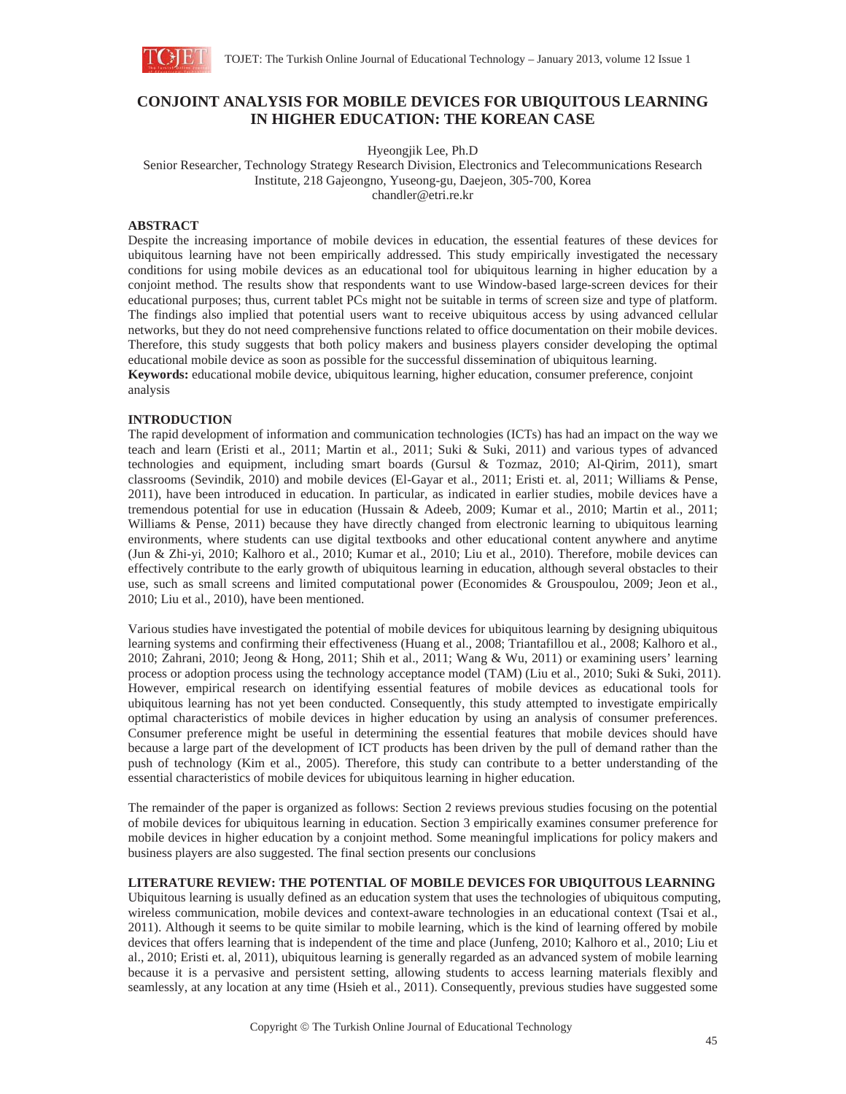

# **CONJOINT ANALYSIS FOR MOBILE DEVICES FOR UBIQUITOUS LEARNING IN HIGHER EDUCATION: THE KOREAN CASE**

Hyeongjik Lee, Ph.D

Senior Researcher, Technology Strategy Research Division, Electronics and Telecommunications Research Institute, 218 Gajeongno, Yuseong-gu, Daejeon, 305-700, Korea

chandler@etri.re.kr

### **ABSTRACT**

Despite the increasing importance of mobile devices in education, the essential features of these devices for ubiquitous learning have not been empirically addressed. This study empirically investigated the necessary conditions for using mobile devices as an educational tool for ubiquitous learning in higher education by a conjoint method. The results show that respondents want to use Window-based large-screen devices for their educational purposes; thus, current tablet PCs might not be suitable in terms of screen size and type of platform. The findings also implied that potential users want to receive ubiquitous access by using advanced cellular networks, but they do not need comprehensive functions related to office documentation on their mobile devices. Therefore, this study suggests that both policy makers and business players consider developing the optimal educational mobile device as soon as possible for the successful dissemination of ubiquitous learning.

**Keywords:** educational mobile device, ubiquitous learning, higher education, consumer preference, conjoint analysis

#### **INTRODUCTION**

The rapid development of information and communication technologies (ICTs) has had an impact on the way we teach and learn (Eristi et al., 2011; Martin et al., 2011; Suki & Suki, 2011) and various types of advanced technologies and equipment, including smart boards (Gursul & Tozmaz, 2010; Al-Qirim, 2011), smart classrooms (Sevindik, 2010) and mobile devices (El-Gayar et al., 2011; Eristi et. al, 2011; Williams & Pense, 2011), have been introduced in education. In particular, as indicated in earlier studies, mobile devices have a tremendous potential for use in education (Hussain & Adeeb, 2009; Kumar et al., 2010; Martin et al., 2011; Williams & Pense, 2011) because they have directly changed from electronic learning to ubiquitous learning environments, where students can use digital textbooks and other educational content anywhere and anytime (Jun & Zhi-yi, 2010; Kalhoro et al., 2010; Kumar et al., 2010; Liu et al., 2010). Therefore, mobile devices can effectively contribute to the early growth of ubiquitous learning in education, although several obstacles to their use, such as small screens and limited computational power (Economides & Grouspoulou, 2009; Jeon et al., 2010; Liu et al., 2010), have been mentioned.

Various studies have investigated the potential of mobile devices for ubiquitous learning by designing ubiquitous learning systems and confirming their effectiveness (Huang et al., 2008; Triantafillou et al., 2008; Kalhoro et al., 2010; Zahrani, 2010; Jeong & Hong, 2011; Shih et al., 2011; Wang & Wu, 2011) or examining users' learning process or adoption process using the technology acceptance model (TAM) (Liu et al., 2010; Suki & Suki, 2011). However, empirical research on identifying essential features of mobile devices as educational tools for ubiquitous learning has not yet been conducted. Consequently, this study attempted to investigate empirically optimal characteristics of mobile devices in higher education by using an analysis of consumer preferences. Consumer preference might be useful in determining the essential features that mobile devices should have because a large part of the development of ICT products has been driven by the pull of demand rather than the push of technology (Kim et al., 2005). Therefore, this study can contribute to a better understanding of the essential characteristics of mobile devices for ubiquitous learning in higher education.

The remainder of the paper is organized as follows: Section 2 reviews previous studies focusing on the potential of mobile devices for ubiquitous learning in education. Section 3 empirically examines consumer preference for mobile devices in higher education by a conjoint method. Some meaningful implications for policy makers and business players are also suggested. The final section presents our conclusions

## **LITERATURE REVIEW: THE POTENTIAL OF MOBILE DEVICES FOR UBIQUITOUS LEARNING**

Ubiquitous learning is usually defined as an education system that uses the technologies of ubiquitous computing, wireless communication, mobile devices and context-aware technologies in an educational context (Tsai et al., 2011). Although it seems to be quite similar to mobile learning, which is the kind of learning offered by mobile devices that offers learning that is independent of the time and place (Junfeng, 2010; Kalhoro et al., 2010; Liu et al., 2010; Eristi et. al, 2011), ubiquitous learning is generally regarded as an advanced system of mobile learning because it is a pervasive and persistent setting, allowing students to access learning materials flexibly and seamlessly, at any location at any time (Hsieh et al., 2011). Consequently, previous studies have suggested some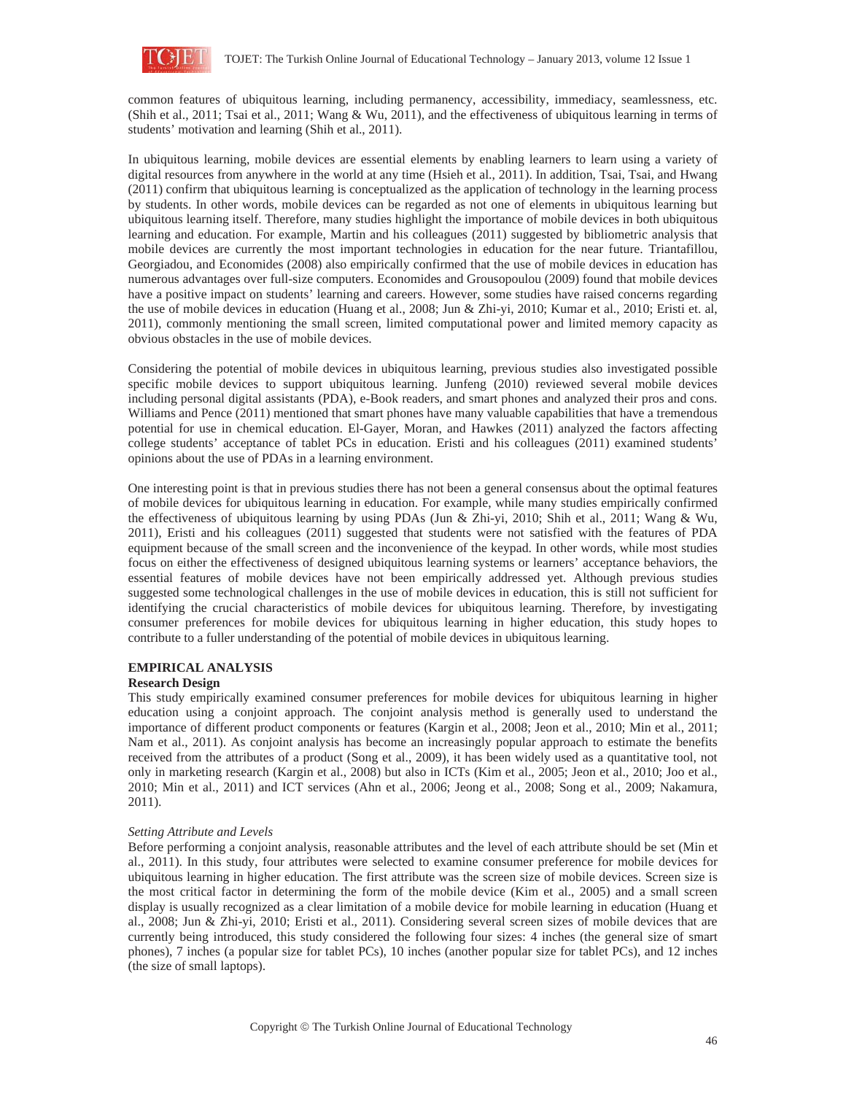

common features of ubiquitous learning, including permanency, accessibility, immediacy, seamlessness, etc. (Shih et al., 2011; Tsai et al., 2011; Wang & Wu, 2011), and the effectiveness of ubiquitous learning in terms of students' motivation and learning (Shih et al., 2011).

In ubiquitous learning, mobile devices are essential elements by enabling learners to learn using a variety of digital resources from anywhere in the world at any time (Hsieh et al., 2011). In addition, Tsai, Tsai, and Hwang (2011) confirm that ubiquitous learning is conceptualized as the application of technology in the learning process by students. In other words, mobile devices can be regarded as not one of elements in ubiquitous learning but ubiquitous learning itself. Therefore, many studies highlight the importance of mobile devices in both ubiquitous learning and education. For example, Martin and his colleagues (2011) suggested by bibliometric analysis that mobile devices are currently the most important technologies in education for the near future. Triantafillou, Georgiadou, and Economides (2008) also empirically confirmed that the use of mobile devices in education has numerous advantages over full-size computers. Economides and Grousopoulou (2009) found that mobile devices have a positive impact on students' learning and careers. However, some studies have raised concerns regarding the use of mobile devices in education (Huang et al., 2008; Jun & Zhi-yi, 2010; Kumar et al., 2010; Eristi et. al, 2011), commonly mentioning the small screen, limited computational power and limited memory capacity as obvious obstacles in the use of mobile devices.

Considering the potential of mobile devices in ubiquitous learning, previous studies also investigated possible specific mobile devices to support ubiquitous learning. Junfeng (2010) reviewed several mobile devices including personal digital assistants (PDA), e-Book readers, and smart phones and analyzed their pros and cons. Williams and Pence (2011) mentioned that smart phones have many valuable capabilities that have a tremendous potential for use in chemical education. El-Gayer, Moran, and Hawkes (2011) analyzed the factors affecting college students' acceptance of tablet PCs in education. Eristi and his colleagues (2011) examined students' opinions about the use of PDAs in a learning environment.

One interesting point is that in previous studies there has not been a general consensus about the optimal features of mobile devices for ubiquitous learning in education. For example, while many studies empirically confirmed the effectiveness of ubiquitous learning by using PDAs (Jun & Zhi-yi, 2010; Shih et al., 2011; Wang & Wu, 2011), Eristi and his colleagues (2011) suggested that students were not satisfied with the features of PDA equipment because of the small screen and the inconvenience of the keypad. In other words, while most studies focus on either the effectiveness of designed ubiquitous learning systems or learners' acceptance behaviors, the essential features of mobile devices have not been empirically addressed yet. Although previous studies suggested some technological challenges in the use of mobile devices in education, this is still not sufficient for identifying the crucial characteristics of mobile devices for ubiquitous learning. Therefore, by investigating consumer preferences for mobile devices for ubiquitous learning in higher education, this study hopes to contribute to a fuller understanding of the potential of mobile devices in ubiquitous learning.

# **EMPIRICAL ANALYSIS**

# **Research Design**

This study empirically examined consumer preferences for mobile devices for ubiquitous learning in higher education using a conjoint approach. The conjoint analysis method is generally used to understand the importance of different product components or features (Kargin et al., 2008; Jeon et al., 2010; Min et al., 2011; Nam et al., 2011). As conjoint analysis has become an increasingly popular approach to estimate the benefits received from the attributes of a product (Song et al., 2009), it has been widely used as a quantitative tool, not only in marketing research (Kargin et al., 2008) but also in ICTs (Kim et al., 2005; Jeon et al., 2010; Joo et al., 2010; Min et al., 2011) and ICT services (Ahn et al., 2006; Jeong et al., 2008; Song et al., 2009; Nakamura, 2011).

## *Setting Attribute and Levels*

Before performing a conjoint analysis, reasonable attributes and the level of each attribute should be set (Min et al., 2011). In this study, four attributes were selected to examine consumer preference for mobile devices for ubiquitous learning in higher education. The first attribute was the screen size of mobile devices. Screen size is the most critical factor in determining the form of the mobile device (Kim et al., 2005) and a small screen display is usually recognized as a clear limitation of a mobile device for mobile learning in education (Huang et al., 2008; Jun & Zhi-yi, 2010; Eristi et al., 2011). Considering several screen sizes of mobile devices that are currently being introduced, this study considered the following four sizes: 4 inches (the general size of smart phones), 7 inches (a popular size for tablet PCs), 10 inches (another popular size for tablet PCs), and 12 inches (the size of small laptops).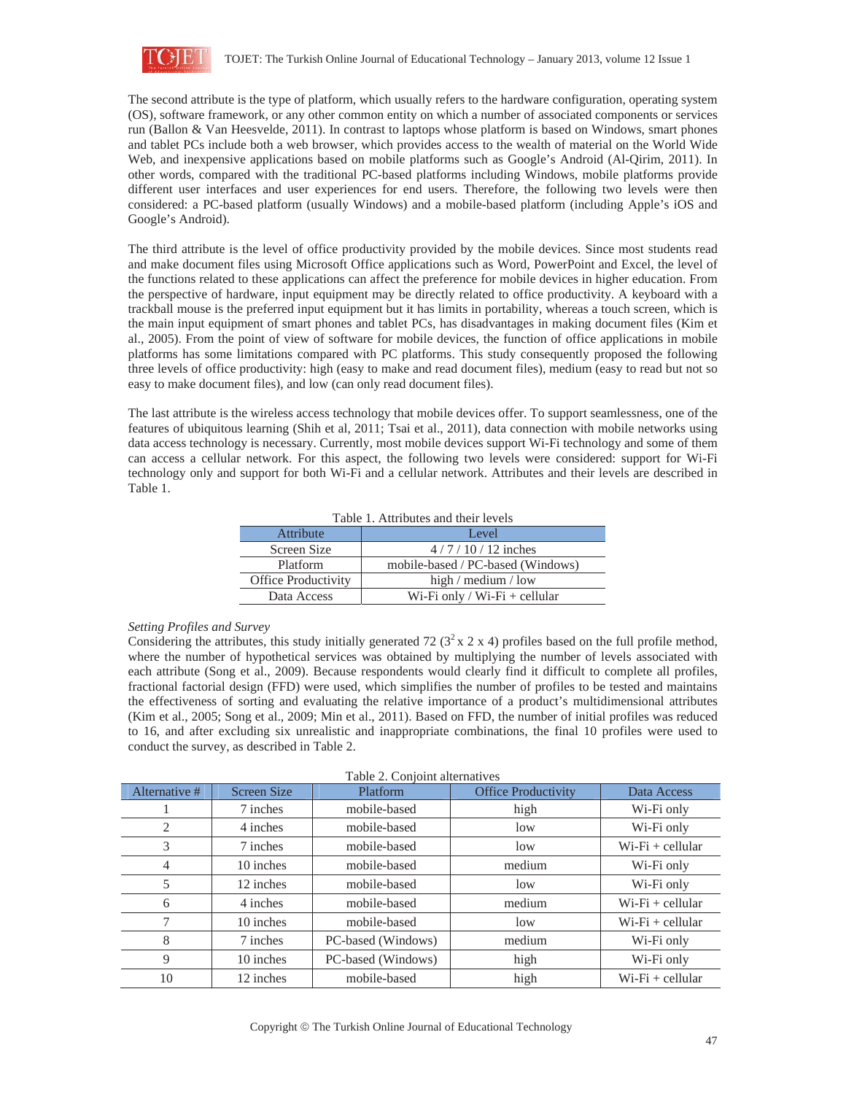

The second attribute is the type of platform, which usually refers to the hardware configuration, operating system (OS), software framework, or any other common entity on which a number of associated components or services run (Ballon & Van Heesvelde, 2011). In contrast to laptops whose platform is based on Windows, smart phones and tablet PCs include both a web browser, which provides access to the wealth of material on the World Wide Web, and inexpensive applications based on mobile platforms such as Google's Android (Al-Qirim, 2011). In other words, compared with the traditional PC-based platforms including Windows, mobile platforms provide different user interfaces and user experiences for end users. Therefore, the following two levels were then considered: a PC-based platform (usually Windows) and a mobile-based platform (including Apple's iOS and Google's Android).

The third attribute is the level of office productivity provided by the mobile devices. Since most students read and make document files using Microsoft Office applications such as Word, PowerPoint and Excel, the level of the functions related to these applications can affect the preference for mobile devices in higher education. From the perspective of hardware, input equipment may be directly related to office productivity. A keyboard with a trackball mouse is the preferred input equipment but it has limits in portability, whereas a touch screen, which is the main input equipment of smart phones and tablet PCs, has disadvantages in making document files (Kim et al., 2005). From the point of view of software for mobile devices, the function of office applications in mobile platforms has some limitations compared with PC platforms. This study consequently proposed the following three levels of office productivity: high (easy to make and read document files), medium (easy to read but not so easy to make document files), and low (can only read document files).

The last attribute is the wireless access technology that mobile devices offer. To support seamlessness, one of the features of ubiquitous learning (Shih et al, 2011; Tsai et al., 2011), data connection with mobile networks using data access technology is necessary. Currently, most mobile devices support Wi-Fi technology and some of them can access a cellular network. For this aspect, the following two levels were considered: support for Wi-Fi technology only and support for both Wi-Fi and a cellular network. Attributes and their levels are described in Table 1.

| Attribute                  | Level                             |  |  |  |
|----------------------------|-----------------------------------|--|--|--|
| Screen Size                | $4/7/10/12$ inches                |  |  |  |
| Platform                   | mobile-based / PC-based (Windows) |  |  |  |
| <b>Office Productivity</b> | high / medium / low               |  |  |  |
| Data Access                | Wi-Fi only / Wi-Fi + cellular     |  |  |  |

Table 1. Attributes and their levels

## *Setting Profiles and Survey*

Considering the attributes, this study initially generated 72 ( $3^2 \times 2 \times 4$ ) profiles based on the full profile method, where the number of hypothetical services was obtained by multiplying the number of levels associated with each attribute (Song et al., 2009). Because respondents would clearly find it difficult to complete all profiles, fractional factorial design (FFD) were used, which simplifies the number of profiles to be tested and maintains the effectiveness of sorting and evaluating the relative importance of a product's multidimensional attributes (Kim et al., 2005; Song et al., 2009; Min et al., 2011). Based on FFD, the number of initial profiles was reduced to 16, and after excluding six unrealistic and inappropriate combinations, the final 10 profiles were used to conduct the survey, as described in Table 2.

| Table 2. Conjoint alternatives |                    |                    |                            |                     |  |  |  |
|--------------------------------|--------------------|--------------------|----------------------------|---------------------|--|--|--|
| Alternative #                  | <b>Screen Size</b> | Platform           | <b>Office Productivity</b> | Data Access         |  |  |  |
|                                | 7 inches           | mobile-based       | high                       | Wi-Fi only          |  |  |  |
| 2                              | 4 inches           | mobile-based       | low                        | Wi-Fi only          |  |  |  |
| 3                              | 7 inches           | mobile-based       | low                        | $Wi$ -Fi + cellular |  |  |  |
| 4                              | 10 inches          | mobile-based       | medium                     | Wi-Fi only          |  |  |  |
| 5                              | 12 inches          | mobile-based       | low                        | Wi-Fi only          |  |  |  |
| 6                              | 4 inches           | mobile-based       | medium                     | $Wi$ -Fi + cellular |  |  |  |
| 7                              | 10 inches          | mobile-based       | low                        | $Wi$ -Fi + cellular |  |  |  |
| 8                              | 7 inches           | PC-based (Windows) | medium                     | Wi-Fi only          |  |  |  |
| 9                              | 10 inches          | PC-based (Windows) | high                       | Wi-Fi only          |  |  |  |
| 10                             | 12 inches          | mobile-based       | high                       | $Wi$ -Fi + cellular |  |  |  |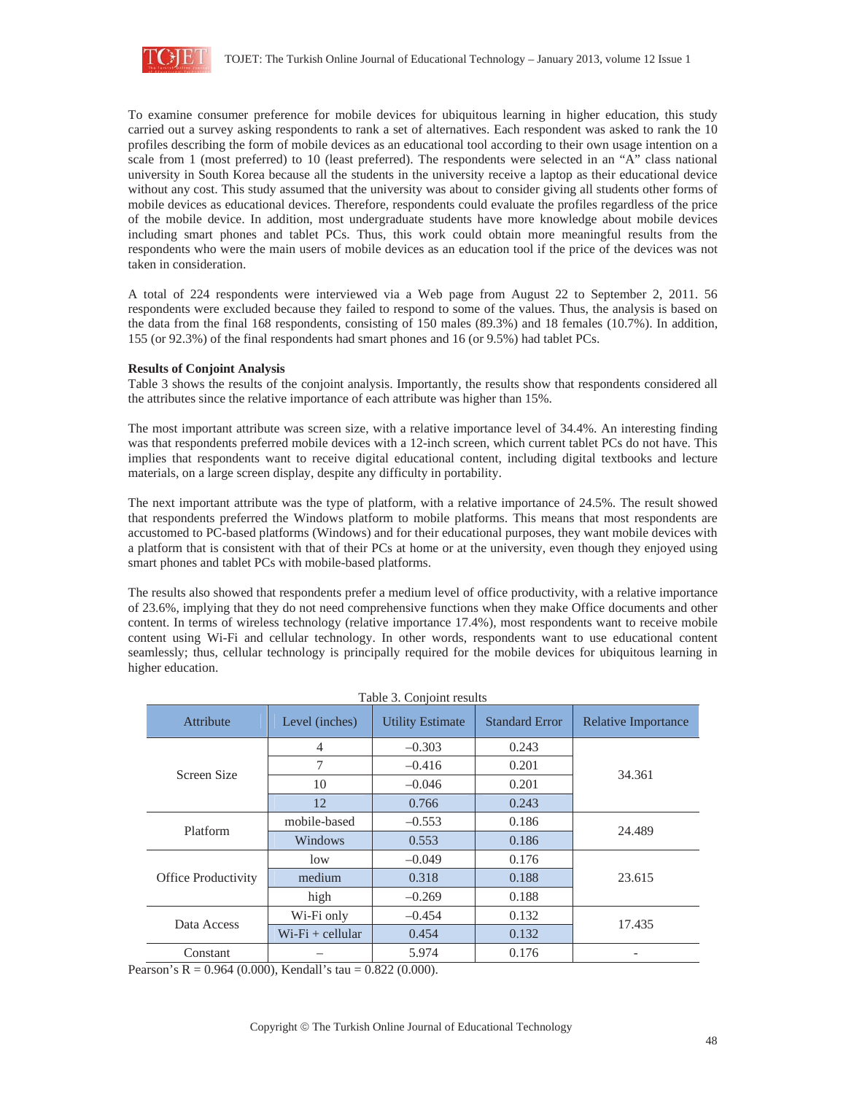

To examine consumer preference for mobile devices for ubiquitous learning in higher education, this study carried out a survey asking respondents to rank a set of alternatives. Each respondent was asked to rank the 10 profiles describing the form of mobile devices as an educational tool according to their own usage intention on a scale from 1 (most preferred) to 10 (least preferred). The respondents were selected in an "A" class national university in South Korea because all the students in the university receive a laptop as their educational device without any cost. This study assumed that the university was about to consider giving all students other forms of mobile devices as educational devices. Therefore, respondents could evaluate the profiles regardless of the price of the mobile device. In addition, most undergraduate students have more knowledge about mobile devices including smart phones and tablet PCs. Thus, this work could obtain more meaningful results from the respondents who were the main users of mobile devices as an education tool if the price of the devices was not taken in consideration.

A total of 224 respondents were interviewed via a Web page from August 22 to September 2, 2011. 56 respondents were excluded because they failed to respond to some of the values. Thus, the analysis is based on the data from the final 168 respondents, consisting of 150 males (89.3%) and 18 females (10.7%). In addition, 155 (or 92.3%) of the final respondents had smart phones and 16 (or 9.5%) had tablet PCs.

#### **Results of Conjoint Analysis**

Table 3 shows the results of the conjoint analysis. Importantly, the results show that respondents considered all the attributes since the relative importance of each attribute was higher than 15%.

The most important attribute was screen size, with a relative importance level of 34.4%. An interesting finding was that respondents preferred mobile devices with a 12-inch screen, which current tablet PCs do not have. This implies that respondents want to receive digital educational content, including digital textbooks and lecture materials, on a large screen display, despite any difficulty in portability.

The next important attribute was the type of platform, with a relative importance of 24.5%. The result showed that respondents preferred the Windows platform to mobile platforms. This means that most respondents are accustomed to PC-based platforms (Windows) and for their educational purposes, they want mobile devices with a platform that is consistent with that of their PCs at home or at the university, even though they enjoyed using smart phones and tablet PCs with mobile-based platforms.

The results also showed that respondents prefer a medium level of office productivity, with a relative importance of 23.6%, implying that they do not need comprehensive functions when they make Office documents and other content. In terms of wireless technology (relative importance 17.4%), most respondents want to receive mobile content using Wi-Fi and cellular technology. In other words, respondents want to use educational content seamlessly; thus, cellular technology is principally required for the mobile devices for ubiquitous learning in higher education.

| Table 3. Conjoint results |                    |                         |                       |                            |  |  |  |
|---------------------------|--------------------|-------------------------|-----------------------|----------------------------|--|--|--|
| Attribute                 | Level (inches)     | <b>Utility Estimate</b> | <b>Standard Error</b> | <b>Relative Importance</b> |  |  |  |
| Screen Size               | $\overline{4}$     | $-0.303$                | 0.243                 |                            |  |  |  |
|                           | 7                  | $-0.416$                | 0.201                 |                            |  |  |  |
|                           | 10                 | $-0.046$                | 0.201                 | 34.361                     |  |  |  |
|                           | 12                 | 0.766                   | 0.243                 |                            |  |  |  |
| Platform                  | mobile-based       | $-0.553$                | 0.186                 |                            |  |  |  |
|                           | Windows            | 0.553                   | 0.186                 | 24.489                     |  |  |  |
| Office Productivity       | low                | $-0.049$                | 0.176                 |                            |  |  |  |
|                           | medium             | 0.318                   | 0.188                 | 23.615                     |  |  |  |
|                           | high               | $-0.269$                | 0.188                 |                            |  |  |  |
| Data Access               | Wi-Fi only         | $-0.454$                | 0.132                 |                            |  |  |  |
|                           | $Wi-Fi + cellular$ | 0.454                   | 0.132                 | 17.435                     |  |  |  |
| Constant                  |                    | 5.974                   | 0.176                 |                            |  |  |  |

Pearson's R =  $0.964$  (0.000), Kendall's tau =  $0.822$  (0.000).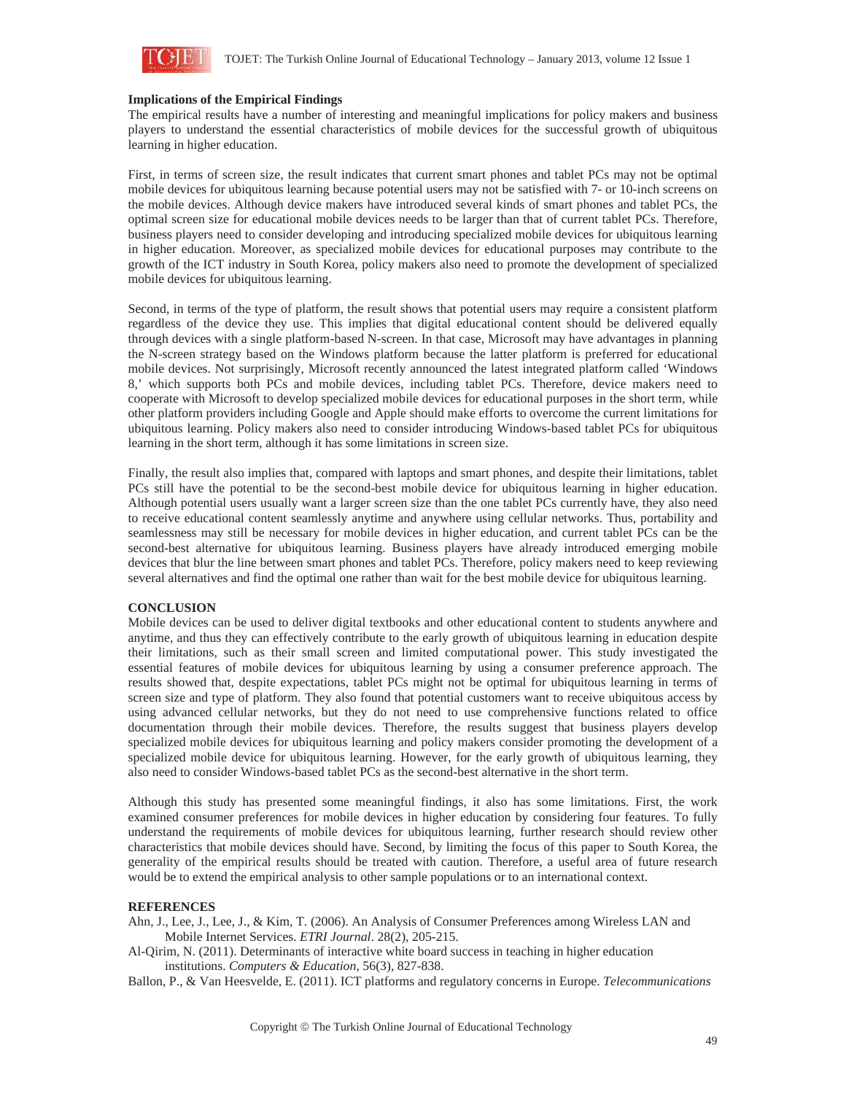

#### **Implications of the Empirical Findings**

The empirical results have a number of interesting and meaningful implications for policy makers and business players to understand the essential characteristics of mobile devices for the successful growth of ubiquitous learning in higher education.

First, in terms of screen size, the result indicates that current smart phones and tablet PCs may not be optimal mobile devices for ubiquitous learning because potential users may not be satisfied with 7- or 10-inch screens on the mobile devices. Although device makers have introduced several kinds of smart phones and tablet PCs, the optimal screen size for educational mobile devices needs to be larger than that of current tablet PCs. Therefore, business players need to consider developing and introducing specialized mobile devices for ubiquitous learning in higher education. Moreover, as specialized mobile devices for educational purposes may contribute to the growth of the ICT industry in South Korea, policy makers also need to promote the development of specialized mobile devices for ubiquitous learning.

Second, in terms of the type of platform, the result shows that potential users may require a consistent platform regardless of the device they use. This implies that digital educational content should be delivered equally through devices with a single platform-based N-screen. In that case, Microsoft may have advantages in planning the N-screen strategy based on the Windows platform because the latter platform is preferred for educational mobile devices. Not surprisingly, Microsoft recently announced the latest integrated platform called 'Windows 8,' which supports both PCs and mobile devices, including tablet PCs. Therefore, device makers need to cooperate with Microsoft to develop specialized mobile devices for educational purposes in the short term, while other platform providers including Google and Apple should make efforts to overcome the current limitations for ubiquitous learning. Policy makers also need to consider introducing Windows-based tablet PCs for ubiquitous learning in the short term, although it has some limitations in screen size.

Finally, the result also implies that, compared with laptops and smart phones, and despite their limitations, tablet PCs still have the potential to be the second-best mobile device for ubiquitous learning in higher education. Although potential users usually want a larger screen size than the one tablet PCs currently have, they also need to receive educational content seamlessly anytime and anywhere using cellular networks. Thus, portability and seamlessness may still be necessary for mobile devices in higher education, and current tablet PCs can be the second-best alternative for ubiquitous learning. Business players have already introduced emerging mobile devices that blur the line between smart phones and tablet PCs. Therefore, policy makers need to keep reviewing several alternatives and find the optimal one rather than wait for the best mobile device for ubiquitous learning.

#### **CONCLUSION**

Mobile devices can be used to deliver digital textbooks and other educational content to students anywhere and anytime, and thus they can effectively contribute to the early growth of ubiquitous learning in education despite their limitations, such as their small screen and limited computational power. This study investigated the essential features of mobile devices for ubiquitous learning by using a consumer preference approach. The results showed that, despite expectations, tablet PCs might not be optimal for ubiquitous learning in terms of screen size and type of platform. They also found that potential customers want to receive ubiquitous access by using advanced cellular networks, but they do not need to use comprehensive functions related to office documentation through their mobile devices. Therefore, the results suggest that business players develop specialized mobile devices for ubiquitous learning and policy makers consider promoting the development of a specialized mobile device for ubiquitous learning. However, for the early growth of ubiquitous learning, they also need to consider Windows-based tablet PCs as the second-best alternative in the short term.

Although this study has presented some meaningful findings, it also has some limitations. First, the work examined consumer preferences for mobile devices in higher education by considering four features. To fully understand the requirements of mobile devices for ubiquitous learning, further research should review other characteristics that mobile devices should have. Second, by limiting the focus of this paper to South Korea, the generality of the empirical results should be treated with caution. Therefore, a useful area of future research would be to extend the empirical analysis to other sample populations or to an international context.

#### **REFERENCES**

Ahn, J., Lee, J., Lee, J., & Kim, T. (2006). An Analysis of Consumer Preferences among Wireless LAN and Mobile Internet Services. *ETRI Journal*. 28(2), 205-215.

Al-Qirim, N. (2011). Determinants of interactive white board success in teaching in higher education institutions. *Computers & Education*, 56(3), 827-838.

Ballon, P., & Van Heesvelde, E. (2011). ICT platforms and regulatory concerns in Europe. *Telecommunications*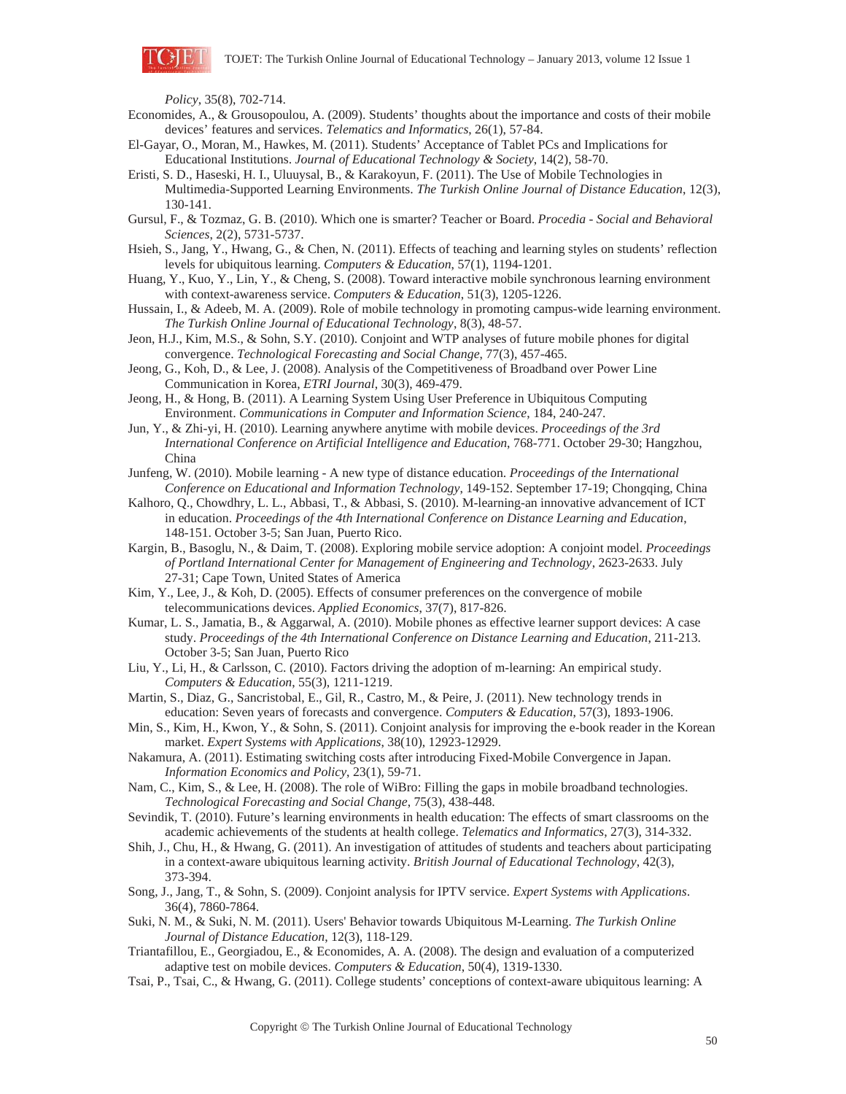

*Policy*, 35(8), 702-714.

- Economides, A., & Grousopoulou, A. (2009). Students' thoughts about the importance and costs of their mobile devices' features and services. *Telematics and Informatics*, 26(1), 57-84.
- El-Gayar, O., Moran, M., Hawkes, M. (2011). Students' Acceptance of Tablet PCs and Implications for Educational Institutions. *Journal of Educational Technology & Society*, 14(2), 58-70.
- Eristi, S. D., Haseski, H. I., Uluuysal, B., & Karakoyun, F. (2011). The Use of Mobile Technologies in Multimedia-Supported Learning Environments. *The Turkish Online Journal of Distance Education*, 12(3), 130-141.
- Gursul, F., & Tozmaz, G. B. (2010). Which one is smarter? Teacher or Board. *Procedia Social and Behavioral Sciences*, 2(2), 5731-5737.
- Hsieh, S., Jang, Y., Hwang, G., & Chen, N. (2011). Effects of teaching and learning styles on students' reflection levels for ubiquitous learning. *Computers & Education*, 57(1), 1194-1201.
- Huang, Y., Kuo, Y., Lin, Y., & Cheng, S. (2008). Toward interactive mobile synchronous learning environment with context-awareness service. *Computers & Education*, 51(3), 1205-1226.
- Hussain, I., & Adeeb, M. A. (2009). Role of mobile technology in promoting campus-wide learning environment. *The Turkish Online Journal of Educational Technology*, 8(3), 48-57.
- Jeon, H.J., Kim, M.S., & Sohn, S.Y. (2010). Conjoint and WTP analyses of future mobile phones for digital convergence. *Technological Forecasting and Social Change*, 77(3), 457-465.
- Jeong, G., Koh, D., & Lee, J. (2008). Analysis of the Competitiveness of Broadband over Power Line Communication in Korea, *ETRI Journal*, 30(3), 469-479.
- Jeong, H., & Hong, B. (2011). A Learning System Using User Preference in Ubiquitous Computing Environment. *Communications in Computer and Information Science*, 184, 240-247.
- Jun, Y., & Zhi-yi, H. (2010). Learning anywhere anytime with mobile devices. *Proceedings of the 3rd International Conference on Artificial Intelligence and Education*, 768-771. October 29-30; Hangzhou, China
- Junfeng, W. (2010). Mobile learning A new type of distance education. *Proceedings of the International Conference on Educational and Information Technology*, 149-152. September 17-19; Chongqing, China
- Kalhoro, Q., Chowdhry, L. L., Abbasi, T., & Abbasi, S. (2010). M-learning-an innovative advancement of ICT in education. *Proceedings of the 4th International Conference on Distance Learning and Education*, 148-151. October 3-5; San Juan, Puerto Rico.
- Kargin, B., Basoglu, N., & Daim, T. (2008). Exploring mobile service adoption: A conjoint model. *Proceedings of Portland International Center for Management of Engineering and Technology*, 2623-2633. July 27-31; Cape Town, United States of America
- Kim, Y., Lee, J., & Koh, D. (2005). Effects of consumer preferences on the convergence of mobile telecommunications devices. *Applied Economics*, 37(7), 817-826.
- Kumar, L. S., Jamatia, B., & Aggarwal, A. (2010). Mobile phones as effective learner support devices: A case study. *Proceedings of the 4th International Conference on Distance Learning and Education*, 211-213. October 3-5; San Juan, Puerto Rico
- Liu, Y., Li, H., & Carlsson, C. (2010). Factors driving the adoption of m-learning: An empirical study. *Computers & Education*, 55(3), 1211-1219.
- Martin, S., Diaz, G., Sancristobal, E., Gil, R., Castro, M., & Peire, J. (2011). New technology trends in education: Seven years of forecasts and convergence. *Computers & Education*, 57(3), 1893-1906.
- Min, S., Kim, H., Kwon, Y., & Sohn, S. (2011). Conjoint analysis for improving the e-book reader in the Korean market. *Expert Systems with Applications*, 38(10), 12923-12929.
- Nakamura, A. (2011). Estimating switching costs after introducing Fixed-Mobile Convergence in Japan. *Information Economics and Policy*, 23(1), 59-71.
- Nam, C., Kim, S., & Lee, H. (2008). The role of WiBro: Filling the gaps in mobile broadband technologies. *Technological Forecasting and Social Change*, 75(3), 438-448.
- Sevindik, T. (2010). Future's learning environments in health education: The effects of smart classrooms on the academic achievements of the students at health college. *Telematics and Informatics*, 27(3), 314-332.
- Shih, J., Chu, H., & Hwang, G. (2011). An investigation of attitudes of students and teachers about participating in a context-aware ubiquitous learning activity. *British Journal of Educational Technology*, 42(3), 373-394.
- Song, J., Jang, T., & Sohn, S. (2009). Conjoint analysis for IPTV service. *Expert Systems with Applications*. 36(4), 7860-7864.
- Suki, N. M., & Suki, N. M. (2011). Users' Behavior towards Ubiquitous M-Learning. *The Turkish Online Journal of Distance Education*, 12(3), 118-129.
- Triantafillou, E., Georgiadou, E., & Economides, A. A. (2008). The design and evaluation of a computerized adaptive test on mobile devices. *Computers & Education*, 50(4), 1319-1330.
- Tsai, P., Tsai, C., & Hwang, G. (2011). College students' conceptions of context-aware ubiquitous learning: A